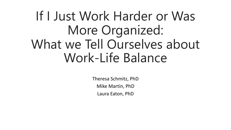# If I Just Work Harder or Was More Organized: What we Tell Ourselves about Work-Life Balance

Theresa Schmitz, PhD Mike Martin, PhD Laura Eaton, PhD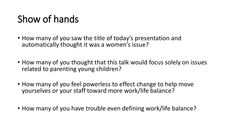## Show of hands

- How many of you saw the title of today's presentation and automatically thought it was a women's issue?
- How many of you thought that this talk would focus solely on issues related to parenting young children?
- How many of you feel powerless to effect change to help move yourselves or your staff toward more work/life balance?
- How many of you have trouble even defining work/life balance?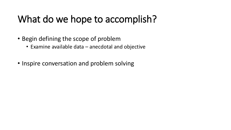#### What do we hope to accomplish?

- Begin defining the scope of problem
	- Examine available data anecdotal and objective
- Inspire conversation and problem solving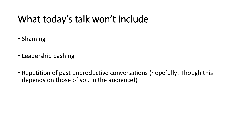### What today's talk won't include

- Shaming
- Leadership bashing
- Repetition of past unproductive conversations (hopefully! Though this depends on those of you in the audience!)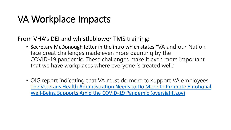#### VA Workplace Impacts

From VHA's DEI and whistleblower TMS training:

- Secretary McDonough letter in the intro which states "VA and our Nation face great challenges made even more daunting by the COVID-19 pandemic. These challenges make it even more important that we have workplaces where everyone is treated well."
- OIG report indicating that VA must do more to support VA employees [The Veterans Health Administration Needs to Do More to Promote Emotional](https://www.oversight.gov/sites/default/files/oig-reports/VA/VAOIG-21-00533-157.pdf) Well-Being Supports Amid the COVID-19 Pandemic (oversight.gov)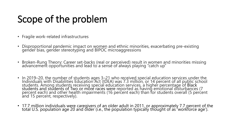### Scope of the problem

- Fragile work-related infrastructures
- Disproportional pandemic impact on women and ethnic minorities, exacerbating pre-existing gender bias, gender stereotyping and BIPOC microaggressions
- Broken-Rung Theory: Career set-backs (real or perceived) result in women and minorities missing advancement opportunities and lead to a sense of always playing "catch up"
- In 2019–20, the number of students ages 3–21 who received special education services under the Individuals with Disabilities Education Act (IDEA) was 7.3 million, or 14 percent of all public school students. Among students receiving special education services, a higher percentage of Black students and students of Two or more races were reported as having emotional disturbances (7 percent each) and other health impairments (16 percent each) than for students overall (5 percent and 15 percent, respectively).
- 17.7 million individuals were caregivers of an older adult in 2011, or approximately 7.7 percent of the total U.S. population age 20 and older (i.e., the population typically thought of as 'workforce age').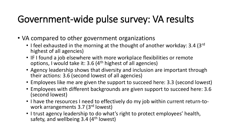#### Government-wide pulse survey: VA results

- VA compared to other government organizations
	- I feel exhausted in the morning at the thought of another workday: 3.4 (3rd) highest of all agencies)
	- IF I found a job elsewhere with more workplace flexibilities or remote options, I would take it: 3.6 (4th highest of all agencies)
	- Agency leadership shows that diversity and inclusion are important through their actions: 3.6 (second lowest of all agencies)
	- Employees like me are given the support to succeed here: 3.3 (second lowest)
	- Employees with different backgrounds are given support to succeed here: 3.6 (second lowest)
	- I have the resources I need to effectively do my job within current return-towork arrangements 3.7 (3rd lowest)
	- I trust agency leadership to do what's right to protect employees' health, safety, and wellbeing  $3.4$  (4<sup>th</sup> lowest)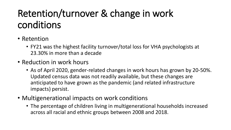## Retention/turnover & change in work conditions

- Retention
	- FY21 was the highest facility turnover/total loss for VHA psychologists at 23.30% in more than a decade
- Reduction in work hours
	- As of April 2020, gender-related changes in work hours has grown by 20-50%. Updated census data was not readily available, but these changes are anticipated to have grown as the pandemic (and related infrastructure impacts) persist.
- Multigenerational impacts on work conditions
	- The percentage of children living in multigenerational households increased across all racial and ethnic groups between 2008 and 2018.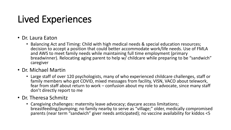## Lived Experiences

- Dr. Laura Eaton
	- Balancing Act and Timing: Child with high medical needs & special education resources; decision to accept a position that could better accommodate work/life needs. Use of FMLA and AWS to meet family needs while maintaining full time employment (primary breadwinner). Relocating aging parent to help w/ childcare while preparing to be "sandwich" caregiver
- Dr. Michael Martin
	- Large staff of over 120 psychologists, many of who experienced childcare challenges, staff or family members who got COVID, mixed messages from facility, VISN, VACO about telework, fear from staff about return to work – confusion about my role to advocate, since many staff don't directly report to me
- Dr. Theresa Schmitz
	- Caregiving challenges: maternity leave advocacy; daycare access limitations; breastfeeding/pumping; no family nearby to serve as "village;" older, medically compromised parents (near term "sandwich" giver needs anticipated); no vaccine availability for kiddos <5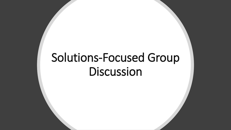# Solutions-Focused Group **Discussion**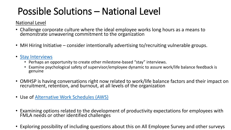## Possible Solutions – National Level

#### National Level

- Challenge corporate culture where the ideal employee works long hours as a means to demonstrate unwavering commitment to the organization
- MH Hiring Initiative consider intentionally advertising to/recruiting vulnerable groups.
- [Stay Interviews](https://dvagov.sharepoint.com/sites/WMCPortal/SubPages/Pages/Stay.aspx)
	- Perhaps an opportunity to create other milestone-based "stay" interviews.
	- Examine psychological safety of supervisor/employee dynamic to assure work/life balance feedback is genuine
- OMHSP is having conversations right now related to work/life balance factors and their impact on recruitment, retention, and burnout, at all levels of the organization
- Use of [Alternative Work Schedules \(AWS\)](https://www.opm.gov/policy-data-oversight/pay-leave/reference-materials/handbooks/alternative-work-schedules/)
- Examining options related to the development of productivity expectations for employees with FMLA needs or other identified challenges
- Exploring possibility of including questions about this on All Employee Survey and other surveys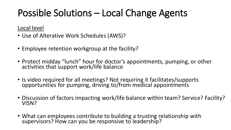## Possible Solutions – Local Change Agents

#### Local level

- Use of Alterative Work Schedules (AWS)?
- Employee retention workgroup at the facility?
- Protect midday "lunch" hour for doctor's appointments, pumping, or other activities that support work/life balance
- Is video required for all meetings? Not requiring it facilitates/supports opportunities for pumping, driving to/from medical appointments
- Discussion of factors impacting work/life balance within team? Service? Facility? VISN?
- What can employees contribute to building a trusting relationship with supervisors? How can you be responsive to leadership?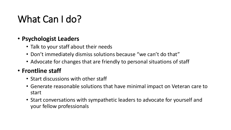### What Can I do?

#### • **Psychologist Leaders**

- Talk to your staff about their needs
- Don't immediately dismiss solutions because "we can't do that"
- Advocate for changes that are friendly to personal situations of staff

#### • **Frontline staff**

- Start discussions with other staff
- Generate reasonable solutions that have minimal impact on Veteran care to start
- Start conversations with sympathetic leaders to advocate for yourself and your fellow professionals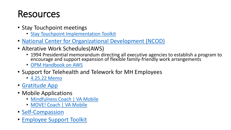#### Resources

- Stay Touchpoint meetings
	- [Stay Touchpoint Implementation Toolkit](https://dvagov.sharepoint.com/sites/WMCPortal/SubPages/Pages/Stay.aspx)
- [National Center for Organizational Development \(NCOD\)](https://www.va.gov/NCOD/index.asp)
- Alterative Work Schedules(AWS)
	- 1994 Presidential memorandum directing all executive agencies to establish a program to encourage and support expansion of flexible family-friendly work arrangements
	- [OPM Handbook on AWS](https://www.opm.gov/policy-data-oversight/pay-leave/reference-materials/handbooks/alternative-work-schedules/)
- Support for Telehealth and Telework for MH Employees
	- [4.25.22 Memo](https://dvagov.sharepoint.com/sites/VACOMentalHealth/OMHSP/First%20Friday%20All%20Inclusive%20Call%20Materials/Forms/AllItems.aspx?id=%2Fsites%2FVACOMentalHealth%2FOMHSP%2FFirst%20Friday%20All%20Inclusive%20Call%20Materials%2FMay%206%2C%202022%2F11%20Memo%20%2D%20Support%20for%20Telehealth%20and%20Telework%20for%20Mental%20Health%20Employees%20es%2Epdf&parent=%2Fsites%2FVACOMentalHealth%2FOMHSP%2FFirst%20Friday%20All%20Inclusive%20Call%20Materials%2FMay%206%2C%202022)
- [Gratitude App](https://apps.gov.powerapps.us/play/07b7af50-b377-4ff1-9cb1-e3010714252f?tenantId=e95f1b23-abaf-45ee-821d-b7ab251ab3bf)
- Mobile Applications
	- [Mindfulness Coach | VA Mobile](https://mobile.va.gov/app/mindfulness-coach)
	- MOVE! Coach | VA Mobile
- [Self-Compassion](https://self-compassion.org/the-three-elements-of-self-compassion-2/)
- [Employee Support Toolkit](https://dvagov.sharepoint.com/sites/VACOVID-19EmployeeSupportToolkit/SitePages/Home.aspx?e=1:bc280e9756754b66b394d1c1a4eae2eb&siteid=%7b86491228-AFDF-4B8C-B203-86DCB350EA31%7d&webid=%7b9E622F07-02AF-42E0-9EED-F5835A4906DD%7d&uniqueid=%7bCF7C2AF9-8876-47D0-80EC-370100CB1529%7d)